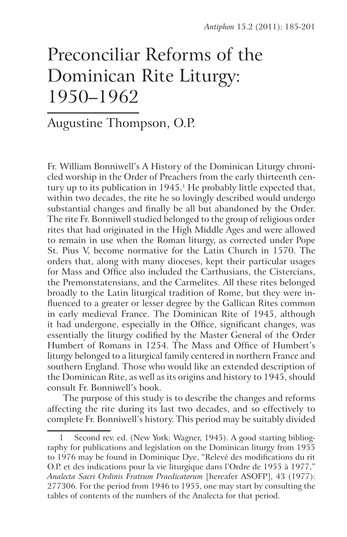# Preconciliar Reforms of the Dominican Rite Liturgy: 1950–1962

# Augustine Thompson, O.P.

Fr. William Bonniwell's A History of the Dominican Liturgy chronicled worship in the Order of Preachers from the early thirteenth century up to its publication in 1945.<sup>1</sup> He probably little expected that, within two decades, the rite he so lovingly described would undergo substantial changes and finally be all but abandoned by the Order. The rite Fr. Bonniwell studied belonged to the group of religious order rites that had originated in the High Middle Ages and were allowed to remain in use when the Roman liturgy, as corrected under Pope St. Pius V, become normative for the Latin Church in 1570. The orders that, along with many dioceses, kept their particular usages for Mass and Office also included the Carthusians, the Cistercians, the Premonstatensians, and the Carmelites. All these rites belonged broadly to the Latin liturgical tradition of Rome, but they were influenced to a greater or lesser degree by the Gallican Rites common in early medieval France. The Dominican Rite of 1945, although it had undergone, especially in the Office, significant changes, was essentially the liturgy codified by the Master General of the Order Humbert of Romans in 1254. The Mass and Office of Humbert's liturgy belonged to a liturgical family centered in northern France and southern England. Those who would like an extended description of the Dominican Rite, as well as its origins and history to 1945, should consult Fr. Bonniwell's book.

The purpose of this study is to describe the changes and reforms affecting the rite during its last two decades, and so effectively to complete Fr. Bonniwell's history. This period may be suitably divided

Second rev. ed. (New York: Wagner, 1945). A good starting bibliography for publications and legislation on the Dominican liturgy from 1955 to 1976 may be found in Dominique Dye, "Relevé des modifications du rit O.P. et des indications pour la vie liturgique dans l'Ordre de 1955 à 1977," *Analecta Sacri Ordinis Fratrum Praedicatorum* [hereafer ASOFP], 43 (1977): 277306. For the period from 1946 to 1955, one may start by consulting the tables of contents of the numbers of the Analecta for that period.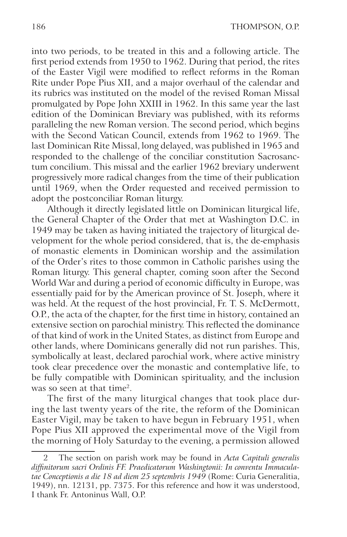into two periods, to be treated in this and a following article. The first period extends from 1950 to 1962. During that period, the rites of the Easter Vigil were modified to reflect reforms in the Roman Rite under Pope Pius XII, and a major overhaul of the calendar and its rubrics was instituted on the model of the revised Roman Missal promulgated by Pope John XXIII in 1962. In this same year the last edition of the Dominican Breviary was published, with its reforms paralleling the new Roman version. The second period, which begins with the Second Vatican Council, extends from 1962 to 1969. The last Dominican Rite Missal, long delayed, was published in 1965 and responded to the challenge of the conciliar constitution Sacrosanctum concilium. This missal and the earlier 1962 breviary underwent progressively more radical changes from the time of their publication until 1969, when the Order requested and received permission to adopt the postconciliar Roman liturgy.

Although it directly legislated little on Dominican liturgical life, the General Chapter of the Order that met at Washington D.C. in 1949 may be taken as having initiated the trajectory of liturgical development for the whole period considered, that is, the de-emphasis of monastic elements in Dominican worship and the assimilation of the Order's rites to those common in Catholic parishes using the Roman liturgy. This general chapter, coming soon after the Second World War and during a period of economic difficulty in Europe, was essentially paid for by the American province of St. Joseph, where it was held. At the request of the host provincial, Fr. T. S. McDermott, O.P., the acta of the chapter, for the first time in history, contained an extensive section on parochial ministry. This reflected the dominance of that kind of work in the United States, as distinct from Europe and other lands, where Dominicans generally did not run parishes. This, symbolically at least, declared parochial work, where active ministry took clear precedence over the monastic and contemplative life, to be fully compatible with Dominican spirituality, and the inclusion was so seen at that time<sup>2</sup>.

The first of the many liturgical changes that took place during the last twenty years of the rite, the reform of the Dominican Easter Vigil, may be taken to have begun in February 1951, when Pope Pius XII approved the experimental move of the Vigil from the morning of Holy Saturday to the evening, a permission allowed

<sup>2</sup> The section on parish work may be found in *Acta Capituli generalis diffinitorum sacri Ordinis FF. Praedicatorum Washingtonii: In conventu Immaculatae Conceptionis a die 18 ad diem 25 septembris 1949* (Rome: Curia Generalitia, 1949), nn. 12131, pp. 7375. For this reference and how it was understood, I thank Fr. Antoninus Wall, O.P.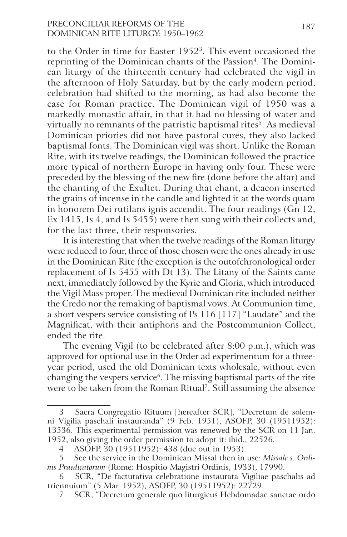# PRECONCILIAR REFORMS OF THE 187 Dominican Rite Liturgy: 1950–1962

to the Order in time for Easter 19523. This event occasioned the reprinting of the Dominican chants of the Passion<sup>4</sup>. The Dominican liturgy of the thirteenth century had celebrated the vigil in the afternoon of Holy Saturday, but by the early modern period, celebration had shifted to the morning, as had also become the case for Roman practice. The Dominican vigil of 1950 was a markedly monastic affair, in that it had no blessing of water and virtually no remnants of the patristic baptismal rites<sup>5</sup>. As medieval Dominican priories did not have pastoral cures, they also lacked baptismal fonts. The Dominican vigil was short. Unlike the Roman Rite, with its twelve readings, the Dominican followed the practice more typical of northern Europe in having only four. These were preceded by the blessing of the new fire (done before the altar) and the chanting of the Exultet. During that chant, a deacon inserted the grains of incense in the candle and lighted it at the words quam in honorem Dei rutilans ignis accendit. The four readings (Gn 12, Ex 1415, Is 4, and Is 5455) were then sung with their collects and, for the last three, their responsories.

It is interesting that when the twelve readings of the Roman liturgy were reduced to four, three of those chosen were the ones already in use in the Dominican Rite (the exception is the outofchronological order replacement of Is 5455 with Dt 13). The Litany of the Saints came next, immediately followed by the Kyrie and Gloria, which introduced the Vigil Mass proper. The medieval Dominican rite included neither the Credo nor the remaking of baptismal vows. At Communion time, a short vespers service consisting of Ps 116 [117] "Laudate" and the Magnificat, with their antiphons and the Postcommunion Collect, ended the rite.

The evening Vigil (to be celebrated after 8:00 p.m.), which was approved for optional use in the Order ad experimentum for a threeyear period, used the old Dominican texts wholesale, without even changing the vespers service<sup>6</sup>. The missing baptismal parts of the rite were to be taken from the Roman Ritual<sup>7</sup>. Still assuming the absence

Sacra Congregatio Rituum [hereafter SCR], "Decretum de solemni Vigilia paschali instauranda" (9 Feb. 1951), ASOFP, 30 (19511952): 13536. This experimental permission was renewed by the SCR on 11 Jan. 1952, also giving the order permission to adopt it: ibid., 22526.

<sup>4</sup> ASOFP, 30 (19511952): 438 (due out in 1953).

<sup>5</sup> See the service in the Dominican Missal then in use: *Missale s. Ordinis Praedicatorum* (Rome: Hospitio Magistri Ordinis, 1933), 17990.

<sup>6</sup> SCR, "De factutativa celebratione instaurata Vigiliae paschalis ad triennuium" (5 Mar. 1952), ASOFP, 30 (19511952): 22729.

<sup>7</sup> SCR, "Decretum generale quo liturgicus Hebdomadae sanctae ordo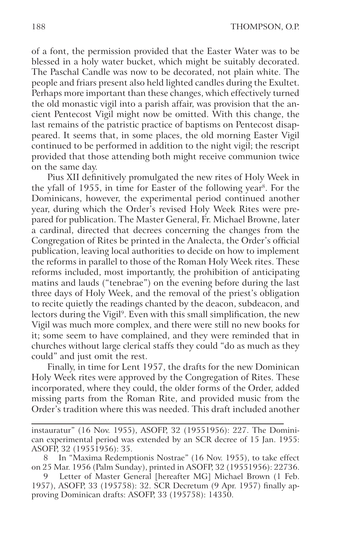of a font, the permission provided that the Easter Water was to be blessed in a holy water bucket, which might be suitably decorated. The Paschal Candle was now to be decorated, not plain white. The people and friars present also held lighted candles during the Exultet. Perhaps more important than these changes, which effectively turned the old monastic vigil into a parish affair, was provision that the ancient Pentecost Vigil might now be omitted. With this change, the last remains of the patristic practice of baptisms on Pentecost disappeared. It seems that, in some places, the old morning Easter Vigil continued to be performed in addition to the night vigil; the rescript provided that those attending both might receive communion twice on the same day.

Pius XII definitively promulgated the new rites of Holy Week in the yfall of 1955, in time for Easter of the following year<sup>8</sup>. For the Dominicans, however, the experimental period continued another year, during which the Order's revised Holy Week Rites were prepared for publication. The Master General, Fr. Michael Browne, later a cardinal, directed that decrees concerning the changes from the Congregation of Rites be printed in the Analecta, the Order's official publication, leaving local authorities to decide on how to implement the reforms in parallel to those of the Roman Holy Week rites. These reforms included, most importantly, the prohibition of anticipating matins and lauds ("tenebrae") on the evening before during the last three days of Holy Week, and the removal of the priest's obligation to recite quietly the readings chanted by the deacon, subdeacon, and lectors during the Vigil<sup>9</sup>. Even with this small simplification, the new Vigil was much more complex, and there were still no new books for it; some seem to have complained, and they were reminded that in churches without large clerical staffs they could "do as much as they could" and just omit the rest.

Finally, in time for Lent 1957, the drafts for the new Dominican Holy Week rites were approved by the Congregation of Rites. These incorporated, where they could, the older forms of the Order, added missing parts from the Roman Rite, and provided music from the Order's tradition where this was needed. This draft included another

instauratur" (16 Nov. 1955), ASOFP, 32 (19551956): 227. The Dominican experimental period was extended by an SCR decree of 15 Jan. 1955: ASOFP, 32 (19551956): 35.

<sup>8</sup> In "Maxima Redemptionis Nostrae" (16 Nov. 1955), to take effect on 25 Mar. 1956 (Palm Sunday), printed in ASOFP, 32 (19551956): 22736.

<sup>9</sup> Letter of Master General [hereafter MG] Michael Brown (1 Feb. 1957), ASOFP, 33 (195758): 32. SCR Decretum (9 Apr. 1957) finally approving Dominican drafts: ASOFP, 33 (195758): 14350.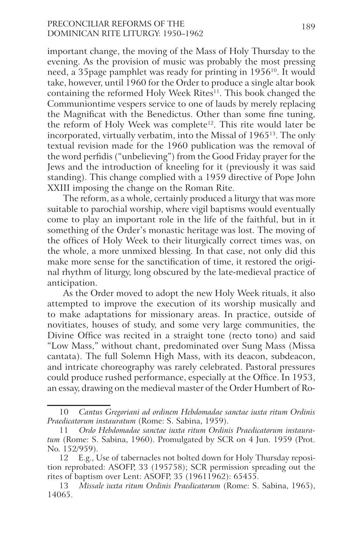# PRECONCILIAR REFORMS OF THE 189 Dominican Rite Liturgy: 1950–1962

important change, the moving of the Mass of Holy Thursday to the evening. As the provision of music was probably the most pressing need, a 35page pamphlet was ready for printing in 1956<sup>10</sup>. It would take, however, until 1960 for the Order to produce a single altar book containing the reformed Holy Week Rites<sup>11</sup>. This book changed the Communiontime vespers service to one of lauds by merely replacing the Magnificat with the Benedictus. Other than some fine tuning, the reform of Holy Week was complete<sup>12</sup>. This rite would later be incorporated, virtually verbatim, into the Missal of 196513. The only textual revision made for the 1960 publication was the removal of the word perfidis ("unbelieving") from the Good Friday prayer for the Jews and the introduction of kneeling for it (previously it was said standing). This change complied with a 1959 directive of Pope John XXIII imposing the change on the Roman Rite.

The reform, as a whole, certainly produced a liturgy that was more suitable to parochial worship, where vigil baptisms would eventually come to play an important role in the life of the faithful, but in it something of the Order's monastic heritage was lost. The moving of the offices of Holy Week to their liturgically correct times was, on the whole, a more unmixed blessing. In that case, not only did this make more sense for the sanctification of time, it restored the original rhythm of liturgy, long obscured by the late-medieval practice of anticipation.

As the Order moved to adopt the new Holy Week rituals, it also attempted to improve the execution of its worship musically and to make adaptations for missionary areas. In practice, outside of novitiates, houses of study, and some very large communities, the Divine Office was recited in a straight tone (recto tono) and said "Low Mass," without chant, predominated over Sung Mass (Missa cantata). The full Solemn High Mass, with its deacon, subdeacon, and intricate choreography was rarely celebrated. Pastoral pressures could produce rushed performance, especially at the Office. In 1953, an essay, drawing on the medieval master of the Order Humbert of Ro-

<sup>10</sup> *Cantus Gregoriani ad ordinem Hebdomadae sanctae iuxta ritum Ordinis Praedicatorum instauratum* (Rome: S. Sabina, 1959).

<sup>11</sup> *Ordo Hebdomadae sanctae iuxta ritum Ordinis Praedicatorum instauratum* (Rome: S. Sabina, 1960). Promulgated by SCR on 4 Jun. 1959 (Prot. No. 152/959).

<sup>12</sup> E.g., Use of tabernacles not bolted down for Holy Thursday reposition reprobated: ASOFP, 33 (195758); SCR permission spreading out the rites of baptism over Lent: ASOFP, 35 (19611962): 65455.

<sup>13</sup> *Missale iuxta ritum Ordinis Praedicatorum* (Rome: S. Sabina, 1965), 14065.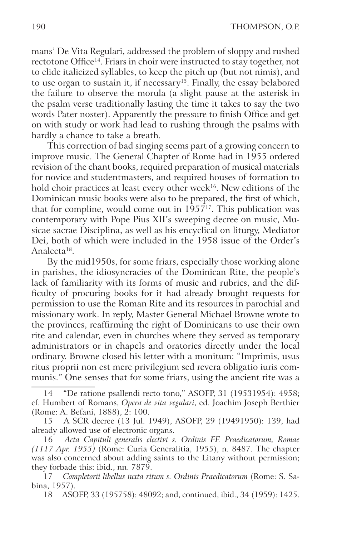mans' De Vita Regulari, addressed the problem of sloppy and rushed rectotone Office<sup>14</sup>. Friars in choir were instructed to stay together, not to elide italicized syllables, to keep the pitch up (but not nimis), and to use organ to sustain it, if necessary<sup>15</sup>. Finally, the essay belabored the failure to observe the morula (a slight pause at the asterisk in the psalm verse traditionally lasting the time it takes to say the two words Pater noster). Apparently the pressure to finish Office and get on with study or work had lead to rushing through the psalms with hardly a chance to take a breath.

This correction of bad singing seems part of a growing concern to improve music. The General Chapter of Rome had in 1955 ordered revision of the chant books, required preparation of musical materials for novice and studentmasters, and required houses of formation to hold choir practices at least every other week<sup>16</sup>. New editions of the Dominican music books were also to be prepared, the first of which, that for compline, would come out in  $1957^{17}$ . This publication was contemporary with Pope Pius XII's sweeping decree on music, Musicae sacrae Disciplina, as well as his encyclical on liturgy, Mediator Dei, both of which were included in the 1958 issue of the Order's Analecta<sup>18</sup>.

By the mid1950s, for some friars, especially those working alone in parishes, the idiosyncracies of the Dominican Rite, the people's lack of familiarity with its forms of music and rubrics, and the difficulty of procuring books for it had already brought requests for permission to use the Roman Rite and its resources in parochial and missionary work. In reply, Master General Michael Browne wrote to the provinces, reaffirming the right of Dominicans to use their own rite and calendar, even in churches where they served as temporary administrators or in chapels and oratories directly under the local ordinary. Browne closed his letter with a monitum: "Imprimis, usus ritus proprii non est mere privilegium sed revera obligatio iuris communis." One senses that for some friars, using the ancient rite was a

<sup>14 &</sup>quot;De ratione psallendi recto tono," ASOFP, 31 (19531954): 4958; cf. Humbert of Romans, *Opera de vita vegulari*, ed. Joachim Joseph Berthier (Rome: A. Befani, 1888), 2: 100.

<sup>15</sup> A SCR decree (13 Jul. 1949), ASOFP, 29 (19491950): 139, had already allowed use of electronic organs.

<sup>16</sup> *Acta Capituli generalis electivi s. Ordinis FF. Praedicatorum, Romae (1117 Apr. 1955)* (Rome: Curia Generalitia, 1955), n. 8487. The chapter was also concerned about adding saints to the Litany without permission; they forbade this: ibid., nn. 7879.

<sup>17</sup> *Completorii libellus iuxta ritum s. Ordinis Praedicatorum* (Rome: S. Sabina, 1957).

<sup>18</sup> ASOFP, 33 (195758): 48092; and, continued, ibid., 34 (1959): 1425.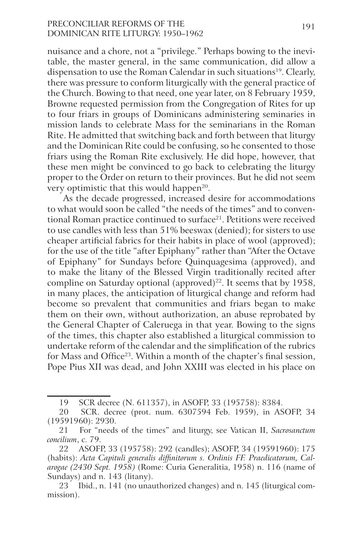# PRECONCILIAR REFORMS OF THE 191 Dominican Rite Liturgy: 1950–1962

nuisance and a chore, not a "privilege." Perhaps bowing to the inevitable, the master general, in the same communication, did allow a dispensation to use the Roman Calendar in such situations<sup>19</sup>. Clearly, there was pressure to conform liturgically with the general practice of the Church. Bowing to that need, one year later, on 8 February 1959, Browne requested permission from the Congregation of Rites for up to four friars in groups of Dominicans administering seminaries in mission lands to celebrate Mass for the seminarians in the Roman Rite. He admitted that switching back and forth between that liturgy and the Dominican Rite could be confusing, so he consented to those friars using the Roman Rite exclusively. He did hope, however, that these men might be convinced to go back to celebrating the liturgy proper to the Order on return to their provinces. But he did not seem very optimistic that this would happen<sup>20</sup>.

As the decade progressed, increased desire for accommodations to what would soon be called "the needs of the times" and to conventional Roman practice continued to surface<sup>21</sup>. Petitions were received to use candles with less than 51% beeswax (denied); for sisters to use cheaper artificial fabrics for their habits in place of wool (approved); for the use of the title "after Epiphany" rather than "After the Octave of Epiphany" for Sundays before Quinquagesima (approved), and to make the litany of the Blessed Virgin traditionally recited after compline on Saturday optional (approved)<sup>22</sup>. It seems that by 1958, in many places, the anticipation of liturgical change and reform had become so prevalent that communities and friars began to make them on their own, without authorization, an abuse reprobated by the General Chapter of Caleruega in that year. Bowing to the signs of the times, this chapter also established a liturgical commission to undertake reform of the calendar and the simplification of the rubrics for Mass and Office<sup>23</sup>. Within a month of the chapter's final session, Pope Pius XII was dead, and John XXIII was elected in his place on

<sup>19</sup> SCR decree (N. 611357), in ASOFP, 33 (195758): 8384.

<sup>20</sup> SCR. decree (prot. num. 6307594 Feb. 1959), in ASOFP, 34 (19591960): 2930.

<sup>21</sup> For "needs of the times" and liturgy, see Vatican II, *Sacrosanctum concilium*, c. 79.

<sup>22</sup> ASOFP, 33 (195758): 292 (candles); ASOFP, 34 (19591960): 175 (habits): *Acta Capituli generalis diffinitorum s. Ordinis FF. Praedicatorum, Calarogae (2430 Sept. 1958)* (Rome: Curia Generalitia, 1958) n. 116 (name of Sundays) and n. 143 (litany).

<sup>23</sup> Ibid., n. 141 (no unauthorized changes) and n. 145 (liturgical commission).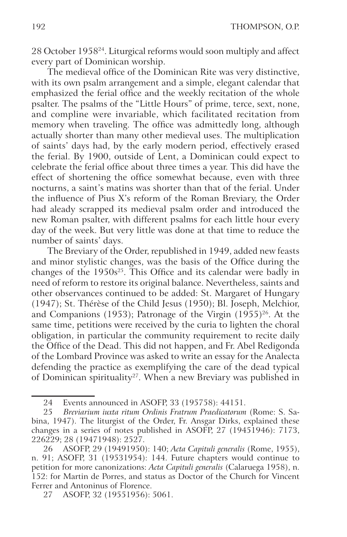28 October 195824. Liturgical reforms would soon multiply and affect every part of Dominican worship.

The medieval office of the Dominican Rite was very distinctive, with its own psalm arrangement and a simple, elegant calendar that emphasized the ferial office and the weekly recitation of the whole psalter. The psalms of the "Little Hours" of prime, terce, sext, none, and compline were invariable, which facilitated recitation from memory when traveling. The office was admittedly long, although actually shorter than many other medieval uses. The multiplication of saints' days had, by the early modern period, effectively erased the ferial. By 1900, outside of Lent, a Dominican could expect to celebrate the ferial office about three times a year. This did have the effect of shortening the office somewhat because, even with three nocturns, a saint's matins was shorter than that of the ferial. Under the influence of Pius X's reform of the Roman Breviary, the Order had aleady scrapped its medieval psalm order and introduced the new Roman psalter, with different psalms for each little hour every day of the week. But very little was done at that time to reduce the number of saints' days.

The Breviary of the Order, republished in 1949, added new feasts and minor stylistic changes, was the basis of the Office during the changes of the  $1950s^{25}$ . This Office and its calendar were badly in need of reform to restore its original balance. Nevertheless, saints and other observances continued to be added: St. Margaret of Hungary (1947); St. Thérèse of the Child Jesus (1950); Bl. Joseph, Melchior, and Companions (1953); Patronage of the Virgin (1955)<sup>26</sup>. At the same time, petitions were received by the curia to lighten the choral obligation, in particular the community requirement to recite daily the Office of the Dead. This did not happen, and Fr. Abel Redigonda of the Lombard Province was asked to write an essay for the Analecta defending the practice as exemplifying the care of the dead typical of Dominican spirituality<sup>27</sup>. When a new Breviary was published in

<sup>24</sup> Events announced in ASOFP, 33 (195758): 44151.

<sup>25</sup> *Breviarium iuxta ritum Ordinis Fratrum Praedicatorum* (Rome: S. Sabina, 1947). The liturgist of the Order, Fr. Ansgar Dirks, explained these changes in a series of notes published in ASOFP, 27 (19451946): 7173, 226229; 28 (19471948): 2527.

<sup>26</sup> ASOFP, 29 (19491950): 140; *Acta Capituli generalis* (Rome, 1955), n. 91; ASOFP, 31 (19531954): 144. Future chapters would continue to petition for more canonizations: *Acta Capituli generalis* (Calaruega 1958), n. 152: for Martin de Porres, and status as Doctor of the Church for Vincent Ferrer and Antoninus of Florence.

<sup>27</sup> ASOFP, 32 (19551956): 5061.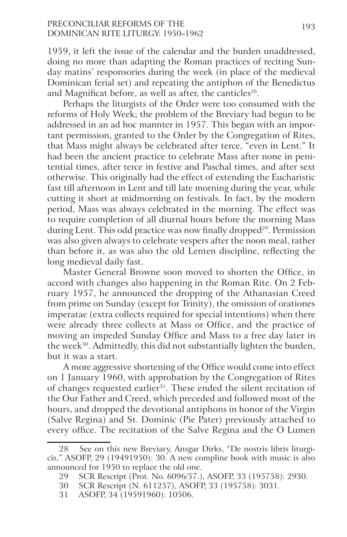# PRECONCILIAR REFORMS OF THE 193 Dominican Rite Liturgy: 1950–1962

1959, it left the issue of the calendar and the burden unaddressed, doing no more than adapting the Roman practices of reciting Sunday matins' responsories during the week (in place of the medieval Dominican ferial set) and repeating the antiphon of the Benedictus and Magnificat before, as well as after, the canticles<sup>28</sup>.

Perhaps the liturgists of the Order were too consumed with the reforms of Holy Week; the problem of the Breviary had begun to be addressed in an ad hoc mannter in 1957. This began with an important permission, granted to the Order by the Congregation of Rites, that Mass might always be celebrated after terce, "even in Lent." It had been the ancient practice to celebrate Mass after none in penitential times, after terce in festive and Paschal times, and after sext otherwise. This originally had the effect of extending the Eucharistic fast till afternoon in Lent and till late morning during the year, while cutting it short at midmorning on festivals. In fact, by the modern period, Mass was always celebrated in the morning. The effect was to require completion of all diurnal hours before the morning Mass during Lent. This odd practice was now finally dropped<sup>29</sup>. Permission was also given always to celebrate vespers after the noon meal, rather than before it, as was also the old Lenten discipline, reflecting the long medieval daily fast.

Master General Browne soon moved to shorten the Office, in accord with changes also happening in the Roman Rite. On 2 February 1957, he announced the dropping of the Athanasian Creed from prime on Sunday (except for Trinity), the omission of orationes imperatae (extra collects required for special intentions) when there were already three collects at Mass or Office, and the practice of moving an impeded Sunday Office and Mass to a free day later in the week<sup>30</sup>. Admittedly, this did not substantially lighten the burden, but it was a start.

A more aggressive shortening of the Office would come into effect on 1 January 1960, with approbation by the Congregation of Rites of changes requested earlier<sup>31</sup>. These ended the silent recitation of the Our Father and Creed, which preceded and followed most of the hours, and dropped the devotional antiphons in honor of the Virgin (Salve Regina) and St. Dominic (Pie Pater) previously attached to every office. The recitation of the Salve Regina and the O Lumen

<sup>28</sup> See on this new Breviary, Ansgar Dirks, "De nostris libris liturgicis," ASOFP, 29 (19491950): 30. A new compline book with music is also announced for 1950 to replace the old one.

<sup>29</sup> SCR Rescript (Prot. No. 6096/57.), ASOFP, 33 (195758): 2930.

<sup>30</sup> SCR Rescript (N. 611257), ASOFP, 33 (195758): 3031.

<sup>31</sup> ASOFP, 34 (19591960): 10506.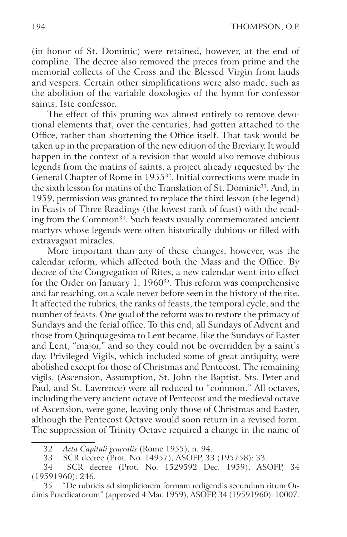(in honor of St. Dominic) were retained, however, at the end of compline. The decree also removed the preces from prime and the memorial collects of the Cross and the Blessed Virgin from lauds and vespers. Certain other simplifications were also made, such as the abolition of the variable doxologies of the hymn for confessor saints, Iste confessor.

The effect of this pruning was almost entirely to remove devotional elements that, over the centuries, had gotten attached to the Office, rather than shortening the Office itself. That task would be taken up in the preparation of the new edition of the Breviary. It would happen in the context of a revision that would also remove dubious legends from the matins of saints, a project already requested by the General Chapter of Rome in 195532. Initial corrections were made in the sixth lesson for matins of the Translation of St. Dominic<sup>33</sup>. And, in 1959, permission was granted to replace the third lesson (the legend) in Feasts of Three Readings (the lowest rank of feast) with the reading from the Common<sup>34</sup>. Such feasts usually commemorated ancient martyrs whose legends were often historically dubious or filled with extravagant miracles.

More important than any of these changes, however, was the calendar reform, which affected both the Mass and the Office. By decree of the Congregation of Rites, a new calendar went into effect for the Order on January 1, 1960<sup>35</sup>. This reform was comprehensive and far reaching, on a scale never before seen in the history of the rite. It affected the rubrics, the ranks of feasts, the temporal cycle, and the number of feasts. One goal of the reform was to restore the primacy of Sundays and the ferial office. To this end, all Sundays of Advent and those from Quinquagesima to Lent became, like the Sundays of Easter and Lent, "major," and so they could not be overridden by a saint's day. Privileged Vigils, which included some of great antiquity, were abolished except for those of Christmas and Pentecost. The remaining vigils, (Ascension, Assumption, St. John the Baptist, Sts. Peter and Paul, and St. Lawrence) were all reduced to "common." All octaves, including the very ancient octave of Pentecost and the medieval octave of Ascension, were gone, leaving only those of Christmas and Easter, although the Pentecost Octave would soon return in a revised form. The suppression of Trinity Octave required a change in the name of

<sup>32</sup> *Acta Capituli generalis* (Rome 1955), n. 94.

<sup>33</sup> SCR decree (Prot. No. 14957), ASOFP, 33 (195758): 33.

<sup>34</sup> SCR decree (Prot. No. 1529592 Dec. 1959), ASOFP, 34 (19591960): 246.

<sup>35 &</sup>quot;De rubricis ad simpliciorem formam redigendis secundum ritum Ordinis Praedicatorum" (approved 4 Mar. 1959), ASOFP, 34 (19591960): 10007.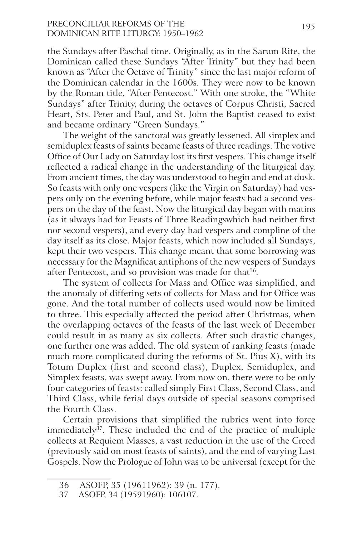# PRECONCILIAR REFORMS OF THE 195 Dominican Rite Liturgy: 1950–1962

the Sundays after Paschal time. Originally, as in the Sarum Rite, the Dominican called these Sundays "After Trinity" but they had been known as "After the Octave of Trinity" since the last major reform of the Dominican calendar in the 1600s. They were now to be known by the Roman title, "After Pentecost." With one stroke, the "White Sundays" after Trinity, during the octaves of Corpus Christi, Sacred Heart, Sts. Peter and Paul, and St. John the Baptist ceased to exist and became ordinary "Green Sundays."

The weight of the sanctoral was greatly lessened. All simplex and semiduplex feasts of saints became feasts of three readings. The votive Office of Our Lady on Saturday lost its first vespers. This change itself reflected a radical change in the understanding of the liturgical day. From ancient times, the day was understood to begin and end at dusk. So feasts with only one vespers (like the Virgin on Saturday) had vespers only on the evening before, while major feasts had a second vespers on the day of the feast. Now the liturgical day began with matins (as it always had for Feasts of Three Readingswhich had neither first nor second vespers), and every day had vespers and compline of the day itself as its close. Major feasts, which now included all Sundays, kept their two vespers. This change meant that some borrowing was necessary for the Magnificat antiphons of the new vespers of Sundays after Pentecost, and so provision was made for that<sup>36</sup>.

The system of collects for Mass and Office was simplified, and the anomaly of differing sets of collects for Mass and for Office was gone. And the total number of collects used would now be limited to three. This especially affected the period after Christmas, when the overlapping octaves of the feasts of the last week of December could result in as many as six collects. After such drastic changes, one further one was added. The old system of ranking feasts (made much more complicated during the reforms of St. Pius X), with its Totum Duplex (first and second class), Duplex, Semiduplex, and Simplex feasts, was swept away. From now on, there were to be only four categories of feasts: called simply First Class, Second Class, and Third Class, while ferial days outside of special seasons comprised the Fourth Class.

Certain provisions that simplified the rubrics went into force immediately<sup>37</sup>. These included the end of the practice of multiple collects at Requiem Masses, a vast reduction in the use of the Creed (previously said on most feasts of saints), and the end of varying Last Gospels. Now the Prologue of John was to be universal (except for the

<sup>36</sup> ASOFP, 35 (19611962): 39 (n. 177).

<sup>37</sup> ASOFP, 34 (19591960): 106107.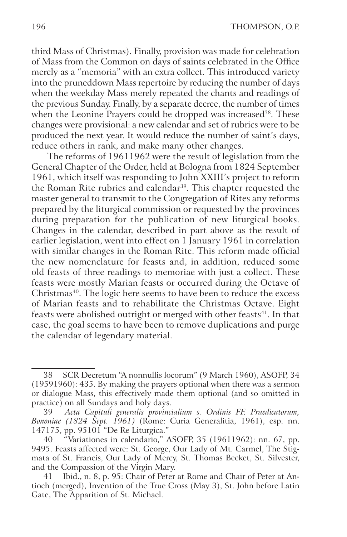third Mass of Christmas). Finally, provision was made for celebration of Mass from the Common on days of saints celebrated in the Office merely as a "memoria" with an extra collect. This introduced variety into the pruneddown Mass repertoire by reducing the number of days when the weekday Mass merely repeated the chants and readings of the previous Sunday. Finally, by a separate decree, the number of times when the Leonine Prayers could be dropped was increased<sup>38</sup>. These changes were provisional: a new calendar and set of rubrics were to be produced the next year. It would reduce the number of saint's days, reduce others in rank, and make many other changes.

The reforms of 19611962 were the result of legislation from the General Chapter of the Order, held at Bologna from 1824 September 1961, which itself was responding to John XXIII's project to reform the Roman Rite rubrics and calendar<sup>39</sup>. This chapter requested the master general to transmit to the Congregation of Rites any reforms prepared by the liturgical commission or requested by the provinces during preparation for the publication of new liturgical books. Changes in the calendar, described in part above as the result of earlier legislation, went into effect on 1 January 1961 in correlation with similar changes in the Roman Rite. This reform made official the new nomenclature for feasts and, in addition, reduced some old feasts of three readings to memoriae with just a collect. These feasts were mostly Marian feasts or occurred during the Octave of Christmas<sup>40</sup>. The logic here seems to have been to reduce the excess of Marian feasts and to rehabilitate the Christmas Octave. Eight feasts were abolished outright or merged with other feasts<sup>41</sup>. In that case, the goal seems to have been to remove duplications and purge the calendar of legendary material.

<sup>38</sup> SCR Decretum "A nonnullis locorum" (9 March 1960), ASOFP, 34 (19591960): 435. By making the prayers optional when there was a sermon or dialogue Mass, this effectively made them optional (and so omitted in practice) on all Sundays and holy days.

<sup>39</sup> *Acta Capituli generalis provincialium s. Ordinis FF. Praedicatorum, Bononiae (1824 Sept. 1961)* (Rome: Curia Generalitia, 1961), esp. nn. 147175, pp. 95101 "De Re Liturgica."

<sup>40 &</sup>quot;Variationes in calendario," ASOFP, 35 (19611962): nn. 67, pp. 9495. Feasts affected were: St. George, Our Lady of Mt. Carmel, The Stigmata of St. Francis, Our Lady of Mercy, St. Thomas Becket, St. Silvester, and the Compassion of the Virgin Mary.

<sup>41</sup> Ibid., n. 8, p. 95: Chair of Peter at Rome and Chair of Peter at Antioch (merged), Invention of the True Cross (May 3), St. John before Latin Gate, The Apparition of St. Michael.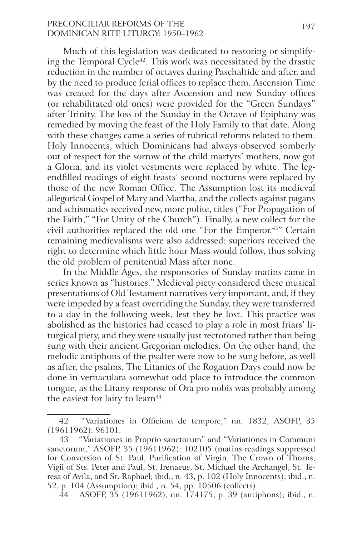# PRECONCILIAR REFORMS OF THE 197 Dominican Rite Liturgy: 1950–1962

Much of this legislation was dedicated to restoring or simplifying the Temporal Cycle<sup>42</sup>. This work was necessitated by the drastic reduction in the number of octaves during Paschaltide and after, and by the need to produce ferial offices to replace them. Ascension Time was created for the days after Ascension and new Sunday offices (or rehabilitated old ones) were provided for the "Green Sundays" after Trinity. The loss of the Sunday in the Octave of Epiphany was remedied by moving the feast of the Holy Family to that date. Along with these changes came a series of rubrical reforms related to them. Holy Innocents, which Dominicans had always observed somberly out of respect for the sorrow of the child martyrs' mothers, now got a Gloria, and its violet vestments were replaced by white. The legendfilled readings of eight feasts' second nocturns were replaced by those of the new Roman Office. The Assumption lost its medieval allegorical Gospel of Mary and Martha, and the collects against pagans and schismatics received new, more polite, titles ("For Propagation of the Faith," "For Unity of the Church"). Finally, a new collect for the civil authorities replaced the old one "For the Emperor.<sup>43"</sup> Certain remaining medievalisms were also addressed: superiors received the right to determine which little hour Mass would follow, thus solving the old problem of penitential Mass after none.

In the Middle Ages, the responsories of Sunday matins came in series known as "histories." Medieval piety considered these musical presentations of Old Testament narratives very important, and, if they were impeded by a feast overriding the Sunday, they were transferred to a day in the following week, lest they be lost. This practice was abolished as the histories had ceased to play a role in most friars' liturgical piety, and they were usually just rectotoned rather than being sung with their ancient Gregorian melodies. On the other hand, the melodic antiphons of the psalter were now to be sung before, as well as after, the psalms. The Litanies of the Rogation Days could now be done in vernaculara somewhat odd place to introduce the common tongue, as the Litany response of Ora pro nobis was probably among the easiest for laity to learn<sup>44</sup>.

<sup>42 &</sup>quot;Variationes in Officium de tempore," nn. 1832, ASOFP, 35 (19611962): 96101.

<sup>43 &</sup>quot;Variationes in Proprio sanctorum" and "Variationes in Communi sanctorum," ASOFP, 35 (19611962): 102105 (matins readings suppressed for Conversion of St. Paul, Purification of Virgin, The Crown of Thorns, Vigil of Sts. Peter and Paul, St. Irenaeus, St. Michael the Archangel, St. Teresa of Avila, and St. Raphael; ibid., n. 43, p. 102 (Holy Innocents); ibid., n. 52, p. 104 (Assumption); ibid., n. 54, pp. 10506 (collects).

<sup>44</sup> ASOFP, 35 (19611962), nn. 174175, p. 39 (antiphons); ibid., n.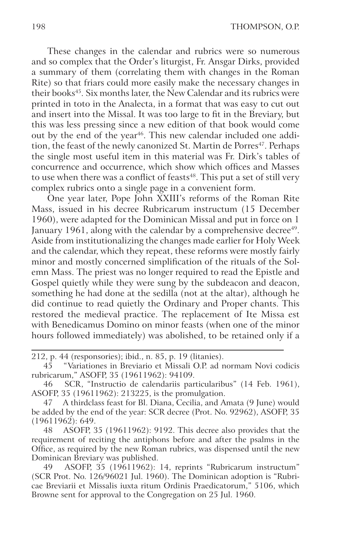These changes in the calendar and rubrics were so numerous and so complex that the Order's liturgist, Fr. Ansgar Dirks, provided a summary of them (correlating them with changes in the Roman Rite) so that friars could more easily make the necessary changes in their books<sup>45</sup>. Six months later, the New Calendar and its rubrics were printed in toto in the Analecta, in a format that was easy to cut out and insert into the Missal. It was too large to fit in the Breviary, but this was less pressing since a new edition of that book would come out by the end of the year<sup>46</sup>. This new calendar included one addition, the feast of the newly canonized St. Martin de Porres<sup>47</sup>. Perhaps the single most useful item in this material was Fr. Dirk's tables of concurrence and occurrence, which show which offices and Masses to use when there was a conflict of feasts<sup>48</sup>. This put a set of still very complex rubrics onto a single page in a convenient form.

One year later, Pope John XXIII's reforms of the Roman Rite Mass, issued in his decree Rubricarum instructum (15 December 1960), were adapted for the Dominican Missal and put in force on 1 January 1961, along with the calendar by a comprehensive decree<sup>49</sup>. Aside from institutionalizing the changes made earlier for Holy Week and the calendar, which they repeat, these reforms were mostly fairly minor and mostly concerned simplification of the rituals of the Solemn Mass. The priest was no longer required to read the Epistle and Gospel quietly while they were sung by the subdeacon and deacon, something he had done at the sedilla (not at the altar), although he did continue to read quietly the Ordinary and Proper chants. This restored the medieval practice. The replacement of Ite Missa est with Benedicamus Domino on minor feasts (when one of the minor hours followed immediately) was abolished, to be retained only if a

<sup>212,</sup> p. 44 (responsories); ibid., n. 85, p. 19 (litanies).

<sup>45 &</sup>quot;Variationes in Breviario et Missali O.P. ad normam Novi codicis rubricarum," ASOFP, 35 (19611962): 94109.

<sup>46</sup> SCR, "Instructio de calendariis particularibus" (14 Feb. 1961), ASOFP, 35 (19611962): 213225, is the promulgation.

<sup>47</sup> A thirdclass feast for Bl. Diana, Cecilia, and Amata (9 June) would be added by the end of the year: SCR decree (Prot. No. 92962), ASOFP, 35 (19611962): 649.

<sup>48</sup> ASOFP, 35 (19611962): 9192. This decree also provides that the requirement of reciting the antiphons before and after the psalms in the Office, as required by the new Roman rubrics, was dispensed until the new Dominican Breviary was published.

<sup>49</sup> ASOFP, 35 (19611962): 14, reprints "Rubricarum instructum" (SCR Prot. No. 126/96021 Jul. 1960). The Dominican adoption is "Rubricae Breviarii et Missalis iuxta ritum Ordinis Praedicatorum," 5106, which Browne sent for approval to the Congregation on 25 Jul. 1960.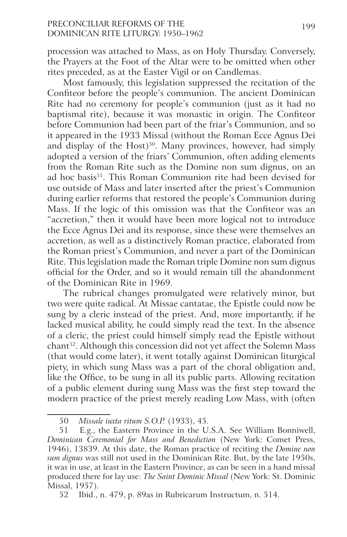# PRECONCILIAR REFORMS OF THE 199 Dominican Rite Liturgy: 1950–1962

procession was attached to Mass, as on Holy Thursday. Conversely, the Prayers at the Foot of the Altar were to be omitted when other rites preceded, as at the Easter Vigil or on Candlemas.

Most famously, this legislation suppressed the recitation of the Confiteor before the people's communion. The ancient Dominican Rite had no ceremony for people's communion (just as it had no baptismal rite), because it was monastic in origin. The Confiteor before Communion had been part of the friar's Communion, and so it appeared in the 1933 Missal (without the Roman Ecce Agnus Dei and display of the Host)<sup>50</sup>. Many provinces, however, had simply adopted a version of the friars' Communion, often adding elements from the Roman Rite such as the Domine non sum dignus, on an ad hoc basis<sup>51</sup>. This Roman Communion rite had been devised for use outside of Mass and later inserted after the priest's Communion during earlier reforms that restored the people's Communion during Mass. If the logic of this omission was that the Confiteor was an "accretion," then it would have been more logical not to introduce the Ecce Agnus Dei and its response, since these were themselves an accretion, as well as a distinctively Roman practice, elaborated from the Roman priest's Communion, and never a part of the Dominican Rite. This legislation made the Roman triple Domine non sum dignus official for the Order, and so it would remain till the abandonment of the Dominican Rite in 1969.

The rubrical changes promulgated were relatively minor, but two were quite radical. At Missae cantatae, the Epistle could now be sung by a cleric instead of the priest. And, more importantly, if he lacked musical ability, he could simply read the text. In the absence of a cleric, the priest could himself simply read the Epistle without chant52. Although this concession did not yet affect the Solemn Mass (that would come later), it went totally against Dominican liturgical piety, in which sung Mass was a part of the choral obligation and, like the Office, to be sung in all its public parts. Allowing recitation of a public element during sung Mass was the first step toward the modern practice of the priest merely reading Low Mass, with (often

<sup>50</sup> *Missale iuxta ritum S.O.P.* (1933), 45.

<sup>51</sup> E.g., the Eastern Province in the U.S.A. See William Bonniwell, *Dominican Ceremonial for Mass and Benediction* (New York: Comet Press, 1946), 13839. At this date, the Roman practice of reciting the *Domine non sum dignus* was still not used in the Dominican Rite. But, by the late 1950s, it was in use, at least in the Eastern Province, as can be seen in a hand missal produced there for lay use: *The Saint Dominic Missal* (New York: St. Dominic Missal, 1957).

<sup>52</sup> Ibid., n. 479, p. 89as in Rubricarum Instructum, n. 514.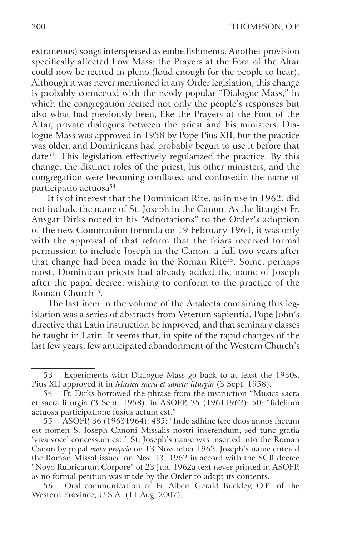extraneous) songs interspersed as embellishments. Another provision specifically affected Low Mass: the Prayers at the Foot of the Altar could now be recited in pleno (loud enough for the people to hear). Although it was never mentioned in any Order legislation, this change is probably connected with the newly popular "Dialogue Mass," in which the congregation recited not only the people's responses but also what had previously been, like the Prayers at the Foot of the Altar, private dialogues between the priest and his ministers. Dialogue Mass was approved in 1958 by Pope Pius XII, but the practice was older, and Dominicans had probably begun to use it before that date<sup>53</sup>. This legislation effectively regularized the practice. By this change, the distinct roles of the priest, his other ministers, and the congregation were becoming conflated and confusedin the name of participatio actuosa<sup>54</sup>.

It is of interest that the Dominican Rite, as in use in 1962, did not include the name of St. Joseph in the Canon. As the liturgist Fr. Ansgar Dirks noted in his "Adnotations" to the Order's adoption of the new Communion formula on 19 February 1964, it was only with the approval of that reform that the friars received formal permission to include Joseph in the Canon, a full two years after that change had been made in the Roman Rite<sup>55</sup>. Some, perhaps most, Dominican priests had already added the name of Joseph after the papal decree, wishing to conform to the practice of the Roman Church<sup>56</sup>.

The last item in the volume of the Analecta containing this legislation was a series of abstracts from Veterum sapientia, Pope John's directive that Latin instruction be improved, and that seminary classes be taught in Latin. It seems that, in spite of the rapid changes of the last few years, few anticipated abandonment of the Western Church's

<sup>53</sup> Experiments with Dialogue Mass go back to at least the 1930s. Pius XII approved it in *Musica sacra et sancta liturgia* (3 Sept. 1958).

<sup>54</sup> Fr. Dirks borrowed the phrase from the instruction "Musica sacra et sacra liturgia (3 Sept. 1958), in ASOFP, 35 (19611962): 50: "fidelium actuosa participatione fusius actum est."

<sup>55</sup> ASOFP, 36 (19631964): 485: "Inde adhinc fere duos annos factum est nomen S. Ioseph Canoni Missalis nostri inserendum, sed tunc gratia 'viva voce' concessum est." St. Joseph's name was inserted into the Roman Canon by papal *motu proprio* on 13 November 1962. Joseph's name entered the Roman Missal issued on Nov. 13, 1962 in accord with the SCR decree "Novo Rubricarum Corpore" of 23 Jun. 1962a text never printed in ASOFP, as no formal petition was made by the Order to adapt its contents.

<sup>56</sup> Oral communication of Fr. Albert Gerald Buckley, O.P., of the Western Province, U.S.A. (11 Aug. 2007).